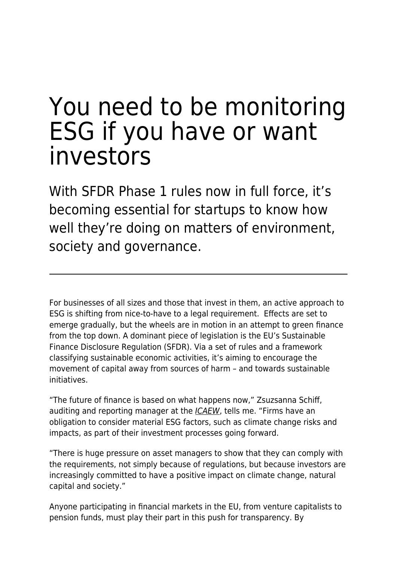# You need to be monitoring ESG if you have or want investors

With SFDR Phase 1 rules now in full force, it's becoming essential for startups to know how well they're doing on matters of environment, society and governance.

For businesses of all sizes and those that invest in them, an active approach to ESG is shifting from nice-to-have to a legal requirement. Effects are set to emerge gradually, but the wheels are in motion in an attempt to green finance from the top down. A dominant piece of legislation is the EU's Sustainable Finance Disclosure Regulation (SFDR). Via a set of rules and a framework classifying sustainable economic activities, it's aiming to encourage the movement of capital away from sources of harm – and towards sustainable initiatives.

"The future of finance is based on what happens now," Zsuzsanna Schiff, auditing and reporting manager at the *[ICAEW](https://www.icaew.com/)*, tells me. "Firms have an obligation to consider material ESG factors, such as climate change risks and impacts, as part of their investment processes going forward.

"There is huge pressure on asset managers to show that they can comply with the requirements, not simply because of regulations, but because investors are increasingly committed to have a positive impact on climate change, natural capital and society."

Anyone participating in financial markets in the EU, from venture capitalists to pension funds, must play their part in this push for transparency. By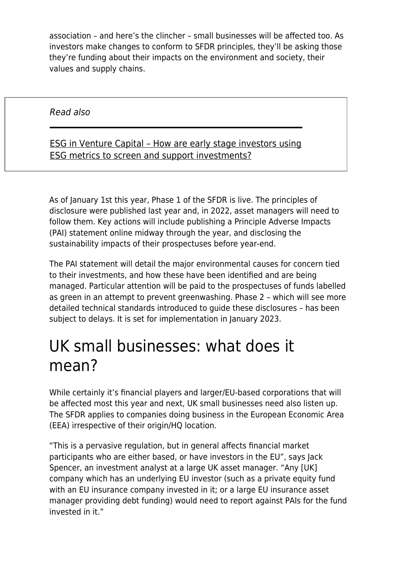association – and here's the clincher – small businesses will be affected too. As investors make changes to conform to SFDR principles, they'll be asking those they're funding about their impacts on the environment and society, their values and supply chains.

Read also

#### [ESG in Venture Capital – How are early stage investors using](https://www.maddyness.com/uk/2021/10/21/esg-in-venture-capital-how-are-early-stage-investors-using-esg-metrics-to-screen-and-support-investments/) [ESG metrics to screen and support investments?](https://www.maddyness.com/uk/2021/10/21/esg-in-venture-capital-how-are-early-stage-investors-using-esg-metrics-to-screen-and-support-investments/)

As of January 1st this year, Phase 1 of the SFDR is live. The principles of disclosure were published last year and, in 2022, asset managers will need to follow them. Key actions will include publishing a Principle Adverse Impacts (PAI) statement online midway through the year, and disclosing the sustainability impacts of their prospectuses before year-end.

The PAI statement will detail the major environmental causes for concern tied to their investments, and how these have been identified and are being managed. Particular attention will be paid to the prospectuses of funds labelled as green in an attempt to prevent greenwashing. Phase 2 – which will see more detailed technical standards introduced to guide these disclosures – has been subject to delays. It is set for implementation in January 2023.

## UK small businesses: what does it mean?

While certainly it's financial players and larger/EU-based corporations that will be affected most this year and next, UK small businesses need also listen up. The SFDR applies to companies doing business in the European Economic Area (EEA) irrespective of their origin/HQ location.

"This is a pervasive regulation, but in general affects financial market participants who are either based, or have investors in the EU", says Jack Spencer, an investment analyst at a large UK asset manager. "Any [UK] company which has an underlying EU investor (such as a private equity fund with an EU insurance company invested in it; or a large EU insurance asset manager providing debt funding) would need to report against PAIs for the fund invested in it."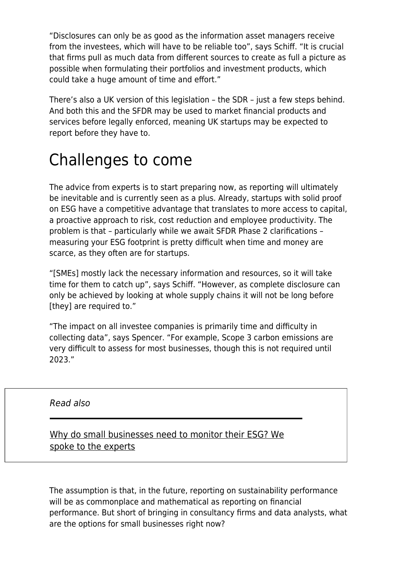"Disclosures can only be as good as the information asset managers receive from the investees, which will have to be reliable too", says Schiff. "It is crucial that firms pull as much data from different sources to create as full a picture as possible when formulating their portfolios and investment products, which could take a huge amount of time and effort."

There's also a UK version of this legislation – the SDR – just a few steps behind. And both this and the SFDR may be used to market financial products and services before legally enforced, meaning UK startups may be expected to report before they have to.

### Challenges to come

The advice from experts is to start preparing now, as reporting will ultimately be inevitable and is currently seen as a plus. Already, startups with solid proof on ESG have a competitive advantage that translates to more access to capital, a proactive approach to risk, cost reduction and employee productivity. The problem is that – particularly while we await SFDR Phase 2 clarifications – measuring your ESG footprint is pretty difficult when time and money are scarce, as they often are for startups.

"[SMEs] mostly lack the necessary information and resources, so it will take time for them to catch up", says Schiff. "However, as complete disclosure can only be achieved by looking at whole supply chains it will not be long before [they] are required to."

"The impact on all investee companies is primarily time and difficulty in collecting data", says Spencer. "For example, Scope 3 carbon emissions are very difficult to assess for most businesses, though this is not required until 2023."

#### Read also

[Why do small businesses need to monitor their ESG? We](https://www.maddyness.com/uk/2021/09/09/why-do-small-businesses-need-to-monitor-their-esg-we-spoke-to-the-experts/) [spoke to the experts](https://www.maddyness.com/uk/2021/09/09/why-do-small-businesses-need-to-monitor-their-esg-we-spoke-to-the-experts/)

The assumption is that, in the future, reporting on sustainability performance will be as commonplace and mathematical as reporting on financial performance. But short of bringing in consultancy firms and data analysts, what are the options for small businesses right now?